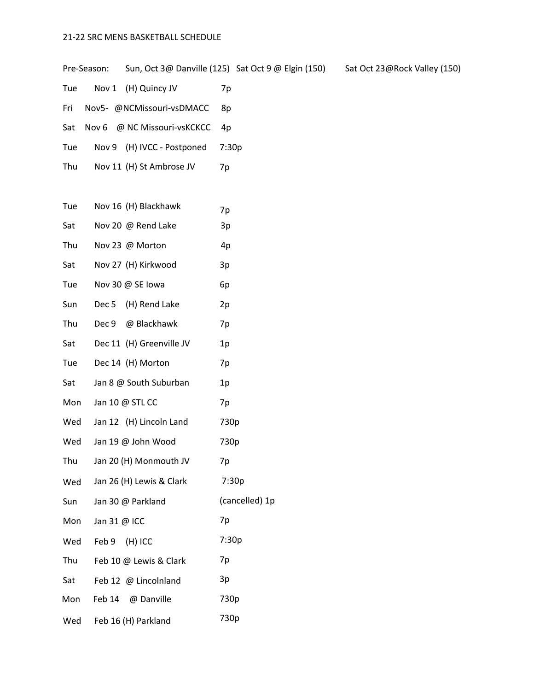## 21-22 SRC MENS BASKETBALL SCHEDULE

Pre-Season: Sun, Oct 3@ Danville (125) Sat Oct 9 @ Elgin (150) Sat Oct 23@Rock Valley (150)

- Tue Nov 1 (H) Quincy JV 7p
- Fri Nov5- @NCMissouri-vsDMACC 8p
- Sat Nov 6 @ NC Missouri-vsKCKCC 4p
- Tue Nov 9 (H) IVCC Postponed 7:30p
- Thu Nov 11 (H) St Ambrose JV 7p
- Tue Nov 16 (H) Blackhawk  $7p$
- Sat Nov 20 @ Rend Lake 3p
- Thu Nov 23 @ Morton 4p
- Sat Nov 27 (H) Kirkwood 3p
- Tue Nov 30 @ SE Iowa 6p
- Sun Dec 5 (H) Rend Lake 2p
- Thu Dec 9 @ Blackhawk 7p
- Sat Dec 11 (H) Greenville JV 1p
- Tue Dec 14 (H) Morton 7p
- Sat Jan 8 @ South Suburban 1p
- Mon Jan 10 @ STL CC 7p
- Wed Jan 12 (H) Lincoln Land 730p
- Wed Jan 19 @ John Wood 730p
- Thu Jan 20 (H) Monmouth JV 7p
- Wed Jan 26 (H) Lewis & Clark 7:30p
- Sun Jan 30 @ Parkland (cancelled) 1p Mon Jan 31 @ ICC 7p
- 
- Wed Feb 9 (H) ICC 7:30p
- Thu Feb 10 @ Lewis & Clark 7p
- Sat Feb 12 @ Lincolnland 3p Mon Feb 14 @ Danville 730p
- Wed Feb 16 (H) Parkland 730p